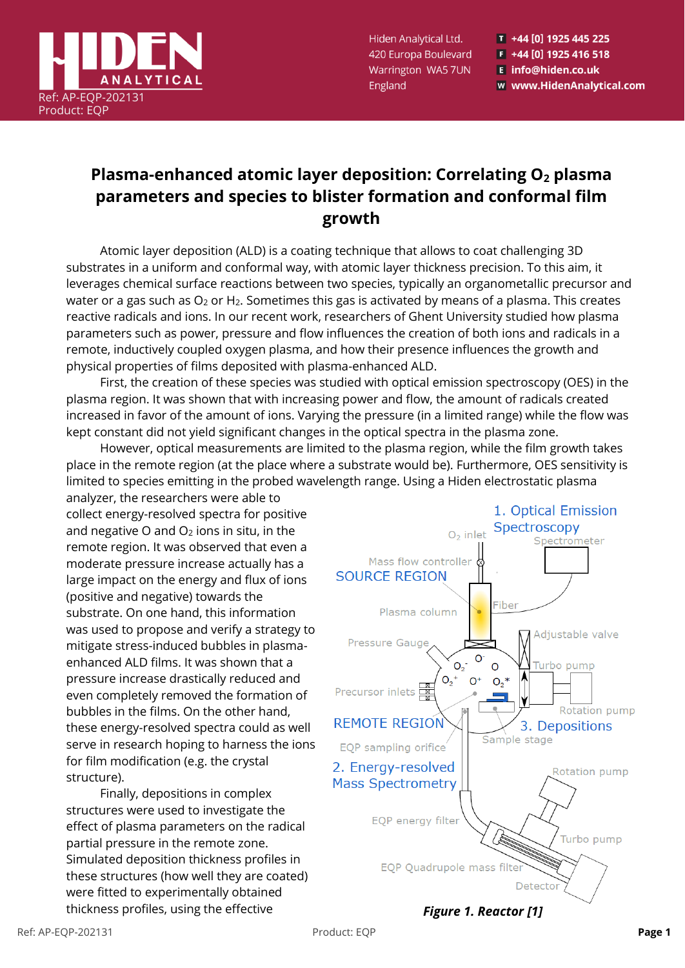

Hiden Analytical Ltd. 420 Europa Boulevard Warrington WA5 7UN England

T +44 [0] 1925 445 225  $F$  +44 [0] 1925 416 518 E info@hiden.co.uk w www.HidenAnalytical.com

## **Plasma-enhanced atomic layer deposition: Correlating O<sup>2</sup> plasma parameters and species to blister formation and conformal film growth**

Atomic layer deposition (ALD) is a coating technique that allows to coat challenging 3D substrates in a uniform and conformal way, with atomic layer thickness precision. To this aim, it leverages chemical surface reactions between two species, typically an organometallic precursor and water or a gas such as  $O_2$  or  $H_2$ . Sometimes this gas is activated by means of a plasma. This creates reactive radicals and ions. In our recent work, researchers of Ghent University studied how plasma parameters such as power, pressure and flow influences the creation of both ions and radicals in a remote, inductively coupled oxygen plasma, and how their presence influences the growth and physical properties of films deposited with plasma-enhanced ALD.

First, the creation of these species was studied with optical emission spectroscopy (OES) in the plasma region. It was shown that with increasing power and flow, the amount of radicals created increased in favor of the amount of ions. Varying the pressure (in a limited range) while the flow was kept constant did not yield significant changes in the optical spectra in the plasma zone.

However, optical measurements are limited to the plasma region, while the film growth takes place in the remote region (at the place where a substrate would be). Furthermore, OES sensitivity is limited to species emitting in the probed wavelength range. Using a Hiden electrostatic plasma

analyzer, the researchers were able to collect energy-resolved spectra for positive and negative O and  $O<sub>2</sub>$  ions in situ, in the remote region. It was observed that even a moderate pressure increase actually has a large impact on the energy and flux of ions (positive and negative) towards the substrate. On one hand, this information was used to propose and verify a strategy to mitigate stress-induced bubbles in plasmaenhanced ALD films. It was shown that a pressure increase drastically reduced and even completely removed the formation of bubbles in the films. On the other hand, these energy-resolved spectra could as well serve in research hoping to harness the ions for film modification (e.g. the crystal structure).

Finally, depositions in complex structures were used to investigate the effect of plasma parameters on the radical partial pressure in the remote zone. Simulated deposition thickness profiles in these structures (how well they are coated) were fitted to experimentally obtained thickness profiles, using the effective *Figure 1. Reactor [1]*